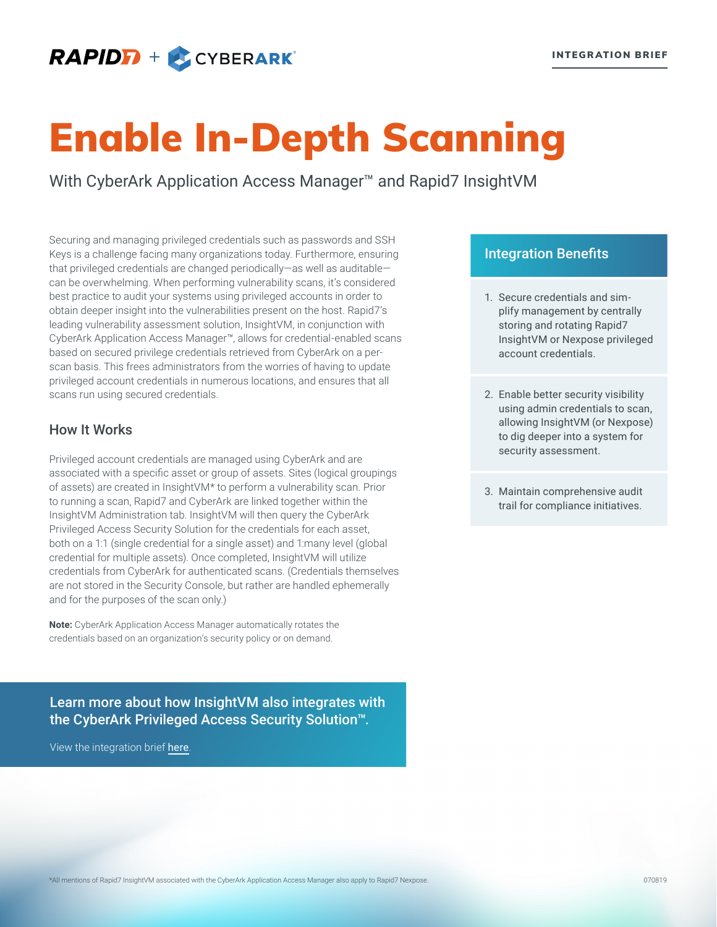# **RAPIDFI** + CYBERARK®

# Enable In-Depth Scanning

With CyberArk Application Access Manager<sup>™</sup> and Rapid7 InsightVM

Securing and managing privileged credentials such as passwords and SSH Keys is a challenge facing many organizations today. Furthermore, ensuring that privileged credentials are changed periodically—as well as auditable can be overwhelming. When performing vulnerability scans, it's considered best practice to audit your systems using privileged accounts in order to obtain deeper insight into the vulnerabilities present on the host. Rapid7's leading vulnerability assessment solution, InsightVM, in conjunction with CyberArk Application Access Manager™, allows for credential-enabled scans based on secured privilege credentials retrieved from CyberArk on a perscan basis. This frees administrators from the worries of having to update privileged account credentials in numerous locations, and ensures that all scans run using secured credentials.

# How It Works

Privileged account credentials are managed using CyberArk and are associated with a specific asset or group of assets. Sites (logical groupings of assets) are created in InsightVM\* to perform a vulnerability scan. Prior to running a scan, Rapid7 and CyberArk are linked together within the InsightVM Administration tab. InsightVM will then query the CyberArk Privileged Access Security Solution for the credentials for each asset, both on a 1:1 (single credential for a single asset) and 1:many level (global credential for multiple assets). Once completed, InsightVM will utilize credentials from CyberArk for authenticated scans. (Credentials themselves are not stored in the Security Console, but rather are handled ephemerally and for the purposes of the scan only.)

**Note:** CyberArk Application Access Manager automatically rotates the credentials based on an organization's security policy or on demand.

Learn more about how InsightVM also integrates with the CyberArk Privileged Access Security Solution™.

View the integration brief [here](https://www.rapid7.com/globalassets/_pdfs/product-and-service-briefs/rapid7-integration-brief-cyberark-privileged-access-security-solution.pdf/).

### Integration Benefits

- 1. Secure credentials and simplify management by centrally storing and rotating Rapid7 InsightVM or Nexpose privileged account credentials.
- 2. Enable better security visibility using admin credentials to scan, allowing InsightVM (or Nexpose) to dig deeper into a system for security assessment.
- 3. Maintain comprehensive audit trail for compliance initiatives.